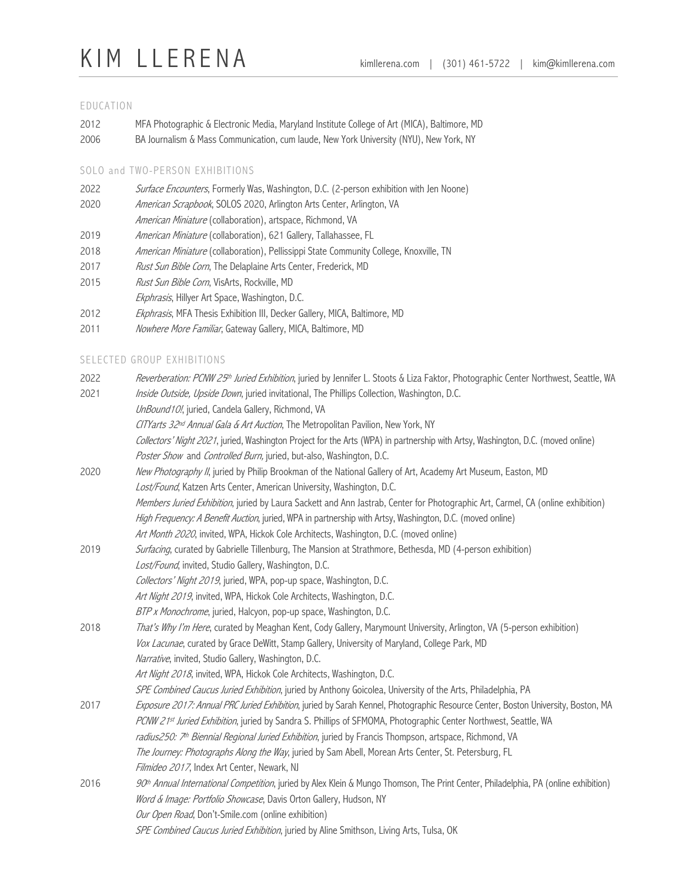# KIM LLERENA kimllerena.com | (301) 461-5722 | kim@kimllerena.com

#### EDUCATION

| 2012 | MFA Photographic & Electronic Media, Maryland Institute College of Art (MICA), Baltimore, MD |
|------|----------------------------------------------------------------------------------------------|
| 2006 | BA Journalism & Mass Communication, cum laude, New York University (NYU), New York, NY       |

#### SOLO and TWO-PERSON EXHIBITIONS

- 2022 Surface Encounters, Formerly Was, Washington, D.C. (2-person exhibition with Jen Noone)
- 2020 American Scrapbook, SOLOS 2020, Arlington Arts Center, Arlington, VA
- American Miniature (collaboration), artspace, Richmond, VA
- 2019 American Miniature (collaboration), 621 Gallery, Tallahassee, FL
- 2018 American Miniature (collaboration), Pellissippi State Community College, Knoxville, TN
- 2017 Rust Sun Bible Corn, The Delaplaine Arts Center, Frederick, MD
- 2015 Rust Sun Bible Corn, VisArts, Rockville, MD
- Ekphrasis, Hillyer Art Space, Washington, D.C.
- 2012 Ekphrasis, MFA Thesis Exhibition III, Decker Gallery, MICA, Baltimore, MD
- 2011 Nowhere More Familiar, Gateway Gallery, MICA, Baltimore, MD

### SELECTED GROUP EXHIBITIONS

| 2022 | Reverberation: PCNW 25th Juried Exhibition, juried by Jennifer L. Stoots & Liza Faktor, Photographic Center Northwest, Seattle, WA              |
|------|-------------------------------------------------------------------------------------------------------------------------------------------------|
| 2021 | Inside Outside, Upside Down, juried invitational, The Phillips Collection, Washington, D.C.                                                     |
|      | UnBound10!, juried, Candela Gallery, Richmond, VA                                                                                               |
|      | CITY arts 32nd Annual Gala & Art Auction, The Metropolitan Pavilion, New York, NY                                                               |
|      | Collectors' Night 2021, juried, Washington Project for the Arts (WPA) in partnership with Artsy, Washington, D.C. (moved online)                |
|      | Poster Show and Controlled Burn, juried, but-also, Washington, D.C.                                                                             |
| 2020 | New Photography II, juried by Philip Brookman of the National Gallery of Art, Academy Art Museum, Easton, MD                                    |
|      | Lost/Found, Katzen Arts Center, American University, Washington, D.C.                                                                           |
|      | Members Juried Exhibition, juried by Laura Sackett and Ann Jastrab, Center for Photographic Art, Carmel, CA (online exhibition)                 |
|      | High Frequency: A Benefit Auction, juried, WPA in partnership with Artsy, Washington, D.C. (moved online)                                       |
|      | Art Month 2020, invited, WPA, Hickok Cole Architects, Washington, D.C. (moved online)                                                           |
| 2019 | Surfacing, curated by Gabrielle Tillenburg, The Mansion at Strathmore, Bethesda, MD (4-person exhibition)                                       |
|      | Lost/Found, invited, Studio Gallery, Washington, D.C.                                                                                           |
|      | Collectors' Night 2019, juried, WPA, pop-up space, Washington, D.C.                                                                             |
|      | Art Night 2019, invited, WPA, Hickok Cole Architects, Washington, D.C.                                                                          |
|      | BTP x Monochrome, juried, Halcyon, pop-up space, Washington, D.C.                                                                               |
| 2018 | That's Why I'm Here, curated by Meaghan Kent, Cody Gallery, Marymount University, Arlington, VA (5-person exhibition)                           |
|      | Vox Lacunae, curated by Grace DeWitt, Stamp Gallery, University of Maryland, College Park, MD                                                   |
|      | Narrative, invited, Studio Gallery, Washington, D.C.                                                                                            |
|      | Art Night 2018, invited, WPA, Hickok Cole Architects, Washington, D.C.                                                                          |
|      | SPE Combined Caucus Juried Exhibition, juried by Anthony Goicolea, University of the Arts, Philadelphia, PA                                     |
| 2017 | Exposure 2017: Annual PRC Juried Exhibition, juried by Sarah Kennel, Photographic Resource Center, Boston University, Boston, MA                |
|      | PCNW 21st Juried Exhibition, juried by Sandra S. Phillips of SFMOMA, Photographic Center Northwest, Seattle, WA                                 |
|      | radius250: 7 <sup>th</sup> Biennial Regional Juried Exhibition, juried by Francis Thompson, artspace, Richmond, VA                              |
|      | The Journey: Photographs Along the Way, juried by Sam Abell, Morean Arts Center, St. Petersburg, FL                                             |
|      | Filmideo 2017, Index Art Center, Newark, NJ                                                                                                     |
| 2016 | 90 <sup>th</sup> Annual International Competition, juried by Alex Klein & Mungo Thomson, The Print Center, Philadelphia, PA (online exhibition) |
|      | Word & Image: Portfolio Showcase, Davis Orton Gallery, Hudson, NY                                                                               |
|      | Our Open Road, Don't-Smile.com (online exhibition)                                                                                              |
|      | SPE Combined Caucus Juried Exhibition, juried by Aline Smithson, Living Arts, Tulsa, OK                                                         |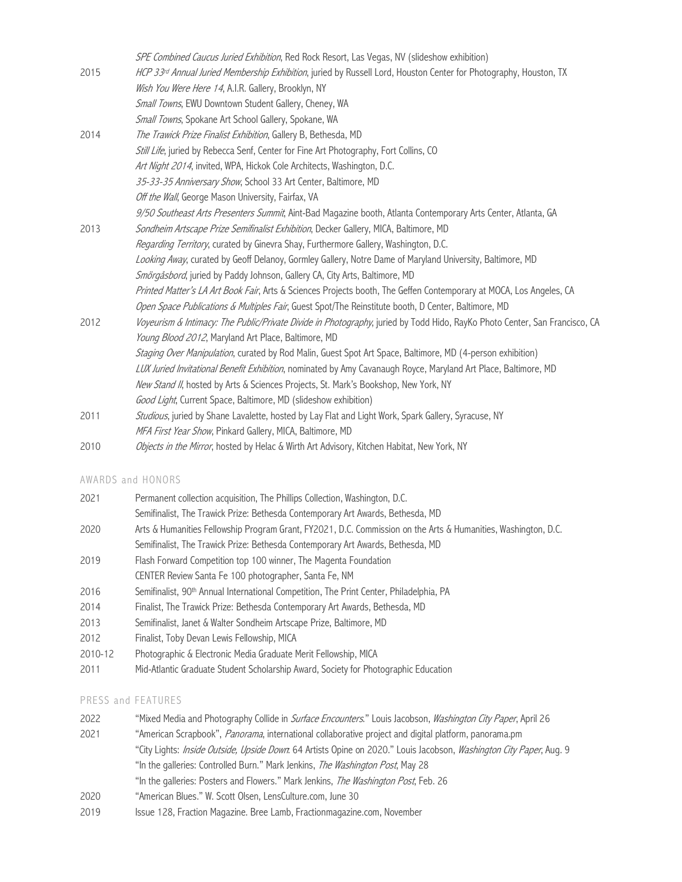|      | SPE Combined Caucus Juried Exhibition, Red Rock Resort, Las Vegas, NV (slideshow exhibition)                               |
|------|----------------------------------------------------------------------------------------------------------------------------|
| 2015 | HCP 33rd Annual Juried Membership Exhibition, juried by Russell Lord, Houston Center for Photography, Houston, TX          |
|      | Wish You Were Here 14, A.I.R. Gallery, Brooklyn, NY                                                                        |
|      | Small Towns, EWU Downtown Student Gallery, Cheney, WA                                                                      |
|      | Small Towns, Spokane Art School Gallery, Spokane, WA                                                                       |
| 2014 | The Trawick Prize Finalist Exhibition, Gallery B, Bethesda, MD                                                             |
|      | Still Life, juried by Rebecca Senf, Center for Fine Art Photography, Fort Collins, CO                                      |
|      | Art Night 2014, invited, WPA, Hickok Cole Architects, Washington, D.C.                                                     |
|      | 35-33-35 Anniversary Show, School 33 Art Center, Baltimore, MD                                                             |
|      | Off the Wall, George Mason University, Fairfax, VA                                                                         |
|      | 9/50 Southeast Arts Presenters Summit, Aint-Bad Magazine booth, Atlanta Contemporary Arts Center, Atlanta, GA              |
| 2013 | Sondheim Artscape Prize Semifinalist Exhibition, Decker Gallery, MICA, Baltimore, MD                                       |
|      | Regarding Territory, curated by Ginevra Shay, Furthermore Gallery, Washington, D.C.                                        |
|      | Looking Away, curated by Geoff Delanoy, Gormley Gallery, Notre Dame of Maryland University, Baltimore, MD                  |
|      | Smörgåsbord, juried by Paddy Johnson, Gallery CA, City Arts, Baltimore, MD                                                 |
|      | Printed Matter's LA Art Book Fair, Arts & Sciences Projects booth, The Geffen Contemporary at MOCA, Los Angeles, CA        |
|      | Open Space Publications & Multiples Fair, Guest Spot/The Reinstitute booth, D Center, Baltimore, MD                        |
| 2012 | Voyeurism & Intimacy: The Public/Private Divide in Photography, juried by Todd Hido, RayKo Photo Center, San Francisco, CA |
|      | Young Blood 2012, Maryland Art Place, Baltimore, MD                                                                        |
|      | Staging Over Manipulation, curated by Rod Malin, Guest Spot Art Space, Baltimore, MD (4-person exhibition)                 |
|      | LUX Juried Invitational Benefit Exhibition, nominated by Amy Cavanaugh Royce, Maryland Art Place, Baltimore, MD            |
|      | New Stand II, hosted by Arts & Sciences Projects, St. Mark's Bookshop, New York, NY                                        |
|      | Good Light, Current Space, Baltimore, MD (slideshow exhibition)                                                            |
| 2011 | Studious, juried by Shane Lavalette, hosted by Lay Flat and Light Work, Spark Gallery, Syracuse, NY                        |
|      | MFA First Year Show, Pinkard Gallery, MICA, Baltimore, MD                                                                  |

2010 Objects in the Mirror, hosted by Helac & Wirth Art Advisory, Kitchen Habitat, New York, NY

### AWARDS and HONORS

| 2021 | Permanent collection acquisition, The Phillips Collection, Washington, D.C.                                    |
|------|----------------------------------------------------------------------------------------------------------------|
|      | Semifinalist, The Trawick Prize: Bethesda Contemporary Art Awards, Bethesda, MD                                |
| 2020 | Arts & Humanities Fellowship Program Grant, FY2021, D.C. Commission on the Arts & Humanities, Washington, D.C. |
|      | Semifinalist, The Trawick Prize: Bethesda Contemporary Art Awards, Bethesda, MD                                |
| 2019 | Flash Forward Competition top 100 winner, The Magenta Foundation                                               |
|      | CENTER Review Santa Fe 100 photographer, Santa Fe, NM                                                          |
| 2016 | Semifinalist, 90 <sup>th</sup> Annual International Competition, The Print Center, Philadelphia, PA            |
| 2014 | Finalist, The Trawick Prize: Bethesda Contemporary Art Awards, Bethesda, MD                                    |

- 2013 Semifinalist, Janet & Walter Sondheim Artscape Prize, Baltimore, MD
- 2012 Finalist, Toby Devan Lewis Fellowship, MICA
- 2010-12 Photographic & Electronic Media Graduate Merit Fellowship, MICA
- 2011 Mid-Atlantic Graduate Student Scholarship Award, Society for Photographic Education

### PRESS and FEATURES

- 2022 "Mixed Media and Photography Collide in Surface Encounters." Louis Jacobson, Washington City Paper, April 26
- 2021 "American Scrapbook", Panorama, international collaborative project and digital platform, panorama.pm
	- "City Lights: Inside Outside, Upside Down. 64 Artists Opine on 2020." Louis Jacobson, Washington City Paper, Aug. 9
	- "In the galleries: Controlled Burn." Mark Jenkins, The Washington Post, May 28
	- "In the galleries: Posters and Flowers." Mark Jenkins, The Washington Post, Feb. 26
- 2020 "American Blues." W. Scott Olsen, LensCulture.com, June 30
- 2019 Issue 128, Fraction Magazine. Bree Lamb, Fractionmagazine.com, November